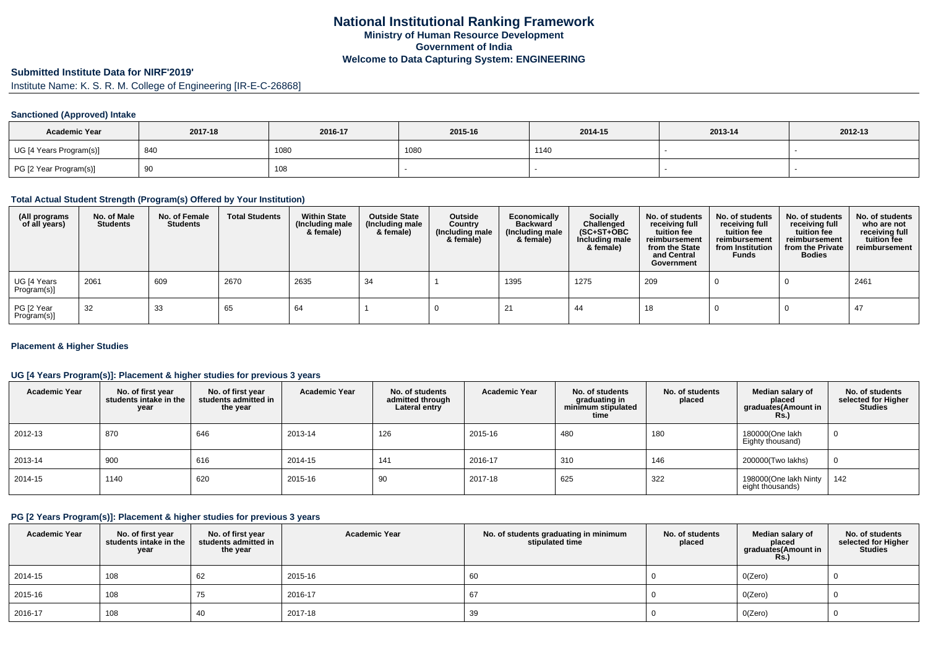## **Submitted Institute Data for NIRF'2019'**

Institute Name: K. S. R. M. College of Engineering [IR-E-C-26868]

### **Sanctioned (Approved) Intake**

| <b>Academic Year</b>    | 2017-18   | 2016-17 | 2015-16 | 2014-15 | 2013-14 | 2012-13 |
|-------------------------|-----------|---------|---------|---------|---------|---------|
| UG [4 Years Program(s)] | 840       | 1080    | 1080    | 1140    |         |         |
| PG [2 Year Program(s)]  | . വ<br>ູບ | 108     |         |         |         |         |

#### **Total Actual Student Strength (Program(s) Offered by Your Institution)**

| (All programs<br>of all years) | No. of Male<br><b>Students</b> | No. of Female<br><b>Students</b> | <b>Total Students</b> | <b>Within State</b><br>(Including male<br>& female) | <b>Outside State</b><br>(Including male<br>& female) | Outside<br>Country<br>(Including male<br>& female) | Economically<br><b>Backward</b><br>(Including male<br>& female) | <b>Socially</b><br>Challenged<br>$(SC+ST+OBC)$<br>Including male<br>& female) | No. of students<br>receiving full<br>tuition fee<br>reimbursement<br>from the State<br>and Central<br>Government | No. of students<br>receiving full<br>tuition fee<br>reimbursement<br>from Institution<br><b>Funds</b> | No. of students<br>receiving full<br>tuition fee<br>reimbursement<br>from the Private<br><b>Bodies</b> | No. of students<br>who are not<br>receiving full<br>tuition fee<br>reimbursement |
|--------------------------------|--------------------------------|----------------------------------|-----------------------|-----------------------------------------------------|------------------------------------------------------|----------------------------------------------------|-----------------------------------------------------------------|-------------------------------------------------------------------------------|------------------------------------------------------------------------------------------------------------------|-------------------------------------------------------------------------------------------------------|--------------------------------------------------------------------------------------------------------|----------------------------------------------------------------------------------|
| UG [4 Years<br>Program(s)]     | 2061                           | 609                              | 2670                  | 2635                                                | 34                                                   |                                                    | 1395                                                            | 1275                                                                          | 209                                                                                                              |                                                                                                       |                                                                                                        | 2461                                                                             |
| PG [2 Year<br>Program(s)]      | 32                             | 33                               | 65                    | 64                                                  |                                                      |                                                    |                                                                 | 44                                                                            | 18                                                                                                               |                                                                                                       |                                                                                                        | -47                                                                              |

### **Placement & Higher Studies**

### **UG [4 Years Program(s)]: Placement & higher studies for previous 3 years**

| <b>Academic Year</b> | No. of first year<br>students intake in the<br>year | No. of first vear<br>students admitted in<br>the year | <b>Academic Year</b> | No. of students<br>admitted through<br>Lateral entry | <b>Academic Year</b> | No. of students<br>graduating in<br>minimum stipulated<br>time | No. of students<br>placed | Median salary of<br>placed<br>graduates(Amount in<br><b>Rs.)</b> | No. of students<br>selected for Higher<br><b>Studies</b> |
|----------------------|-----------------------------------------------------|-------------------------------------------------------|----------------------|------------------------------------------------------|----------------------|----------------------------------------------------------------|---------------------------|------------------------------------------------------------------|----------------------------------------------------------|
| 2012-13              | 870                                                 | 646                                                   | 2013-14              | 126                                                  | 2015-16              | 480                                                            | 180                       | 180000(One lakh<br>Eighty thousand)                              | v                                                        |
| 2013-14              | 900                                                 | 616                                                   | 2014-15              | 141                                                  | 2016-17              | 310                                                            | 146                       | 200000(Two lakhs)                                                |                                                          |
| $ 2014 - 15 $        | 1140                                                | 620                                                   | 2015-16              | 90                                                   | 2017-18              | 625                                                            | 322                       | 198000(One lakh Ninty<br>eight thousands)                        | 142                                                      |

### **PG [2 Years Program(s)]: Placement & higher studies for previous 3 years**

| <b>Academic Year</b> | No. of first year<br>students intake in the<br>year | No. of first year<br>students admitted in<br>the year | <b>Academic Year</b> | No. of students graduating in minimum<br>stipulated time | No. of students<br>placed | Median salary of<br>placed<br>graduates(Amount in<br><b>Rs.)</b> | No. of students<br>selected for Higher<br>Studies |
|----------------------|-----------------------------------------------------|-------------------------------------------------------|----------------------|----------------------------------------------------------|---------------------------|------------------------------------------------------------------|---------------------------------------------------|
| 2014-15              | 108                                                 | 62                                                    | 2015-16              | 60                                                       |                           | O(Zero)                                                          |                                                   |
| 2015-16              | 108                                                 | 75                                                    | 2016-17              | 67                                                       |                           | O(Zero)                                                          |                                                   |
| 2016-17              | 108                                                 | 40                                                    | 2017-18              | 39                                                       |                           | O(Zero)                                                          |                                                   |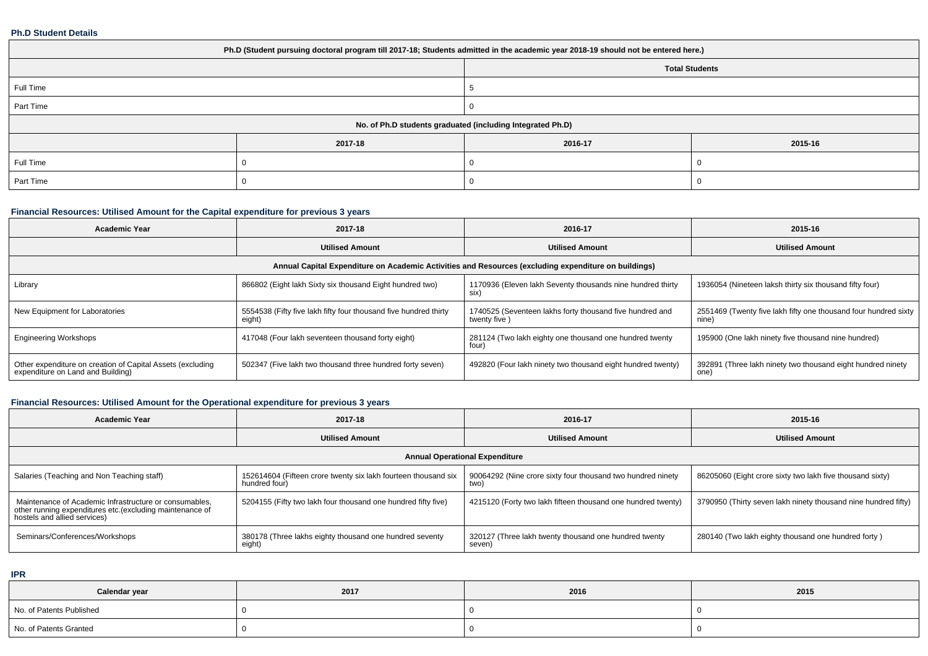### **Ph.D Student Details**

| Ph.D (Student pursuing doctoral program till 2017-18; Students admitted in the academic year 2018-19 should not be entered here.) |         |                       |         |  |  |
|-----------------------------------------------------------------------------------------------------------------------------------|---------|-----------------------|---------|--|--|
|                                                                                                                                   |         | <b>Total Students</b> |         |  |  |
| Full Time                                                                                                                         |         |                       |         |  |  |
| Part Time                                                                                                                         |         |                       |         |  |  |
| No. of Ph.D students graduated (including Integrated Ph.D)                                                                        |         |                       |         |  |  |
|                                                                                                                                   | 2017-18 | 2016-17               | 2015-16 |  |  |
| Full Time                                                                                                                         |         |                       |         |  |  |
| Part Time                                                                                                                         |         |                       |         |  |  |

# **Financial Resources: Utilised Amount for the Capital expenditure for previous 3 years**

| <b>Academic Year</b>                                                                                 | 2017-18                                                                    | 2016-17                                                                  | 2015-16                                                                  |  |  |  |
|------------------------------------------------------------------------------------------------------|----------------------------------------------------------------------------|--------------------------------------------------------------------------|--------------------------------------------------------------------------|--|--|--|
|                                                                                                      | <b>Utilised Amount</b>                                                     | <b>Utilised Amount</b>                                                   | <b>Utilised Amount</b>                                                   |  |  |  |
| Annual Capital Expenditure on Academic Activities and Resources (excluding expenditure on buildings) |                                                                            |                                                                          |                                                                          |  |  |  |
| Library                                                                                              | 866802 (Eight lakh Sixty six thousand Eight hundred two)                   | 1170936 (Eleven lakh Seventy thousands nine hundred thirty<br>six)       | 1936054 (Nineteen laksh thirty six thousand fifty four)                  |  |  |  |
| New Equipment for Laboratories                                                                       | 5554538 (Fifty five lakh fifty four thousand five hundred thirty<br>eight) | 1740525 (Seventeen lakhs forty thousand five hundred and<br>twenty five) | 2551469 (Twenty five lakh fifty one thousand four hundred sixty<br>nine) |  |  |  |
| <b>Engineering Workshops</b>                                                                         | 417048 (Four lakh seventeen thousand forty eight)                          | 281124 (Two lakh eighty one thousand one hundred twenty<br>four)         | 195900 (One lakh ninety five thousand nine hundred)                      |  |  |  |
| Other expenditure on creation of Capital Assets (excluding<br>expenditure on Land and Building)      | 502347 (Five lakh two thousand three hundred forty seven)                  | 492820 (Four lakh ninety two thousand eight hundred twenty)              | 392891 (Three lakh ninety two thousand eight hundred ninety<br>one)      |  |  |  |

# **Financial Resources: Utilised Amount for the Operational expenditure for previous 3 years**

| <b>Academic Year</b>                                                                                                                                | 2017-18                                                                         | 2016-17                                                             | 2015-16                                                        |  |  |  |
|-----------------------------------------------------------------------------------------------------------------------------------------------------|---------------------------------------------------------------------------------|---------------------------------------------------------------------|----------------------------------------------------------------|--|--|--|
|                                                                                                                                                     | <b>Utilised Amount</b>                                                          | <b>Utilised Amount</b>                                              | <b>Utilised Amount</b>                                         |  |  |  |
| <b>Annual Operational Expenditure</b>                                                                                                               |                                                                                 |                                                                     |                                                                |  |  |  |
| Salaries (Teaching and Non Teaching staff)                                                                                                          | 152614604 (Fifteen crore twenty six lakh fourteen thousand six<br>hundred four) | 90064292 (Nine crore sixty four thousand two hundred ninety<br>two) | 86205060 (Eight crore sixty two lakh five thousand sixty)      |  |  |  |
| Maintenance of Academic Infrastructure or consumables,<br>other running expenditures etc. (excluding maintenance of<br>hostels and allied services) | 5204155 (Fifty two lakh four thousand one hundred fifty five)                   | 4215120 (Forty two lakh fifteen thousand one hundred twenty)        | 3790950 (Thirty seven lakh ninety thousand nine hundred fifty) |  |  |  |
| Seminars/Conferences/Workshops                                                                                                                      | 380178 (Three lakhs eighty thousand one hundred seventy<br>eight)               | 320127 (Three lakh twenty thousand one hundred twenty<br>seven)     | 280140 (Two lakh eighty thousand one hundred forty)            |  |  |  |

**IPR**

| Calendar year            | 2017 | 2016 | 2015 |
|--------------------------|------|------|------|
| No. of Patents Published |      |      |      |
| No. of Patents Granted   |      |      |      |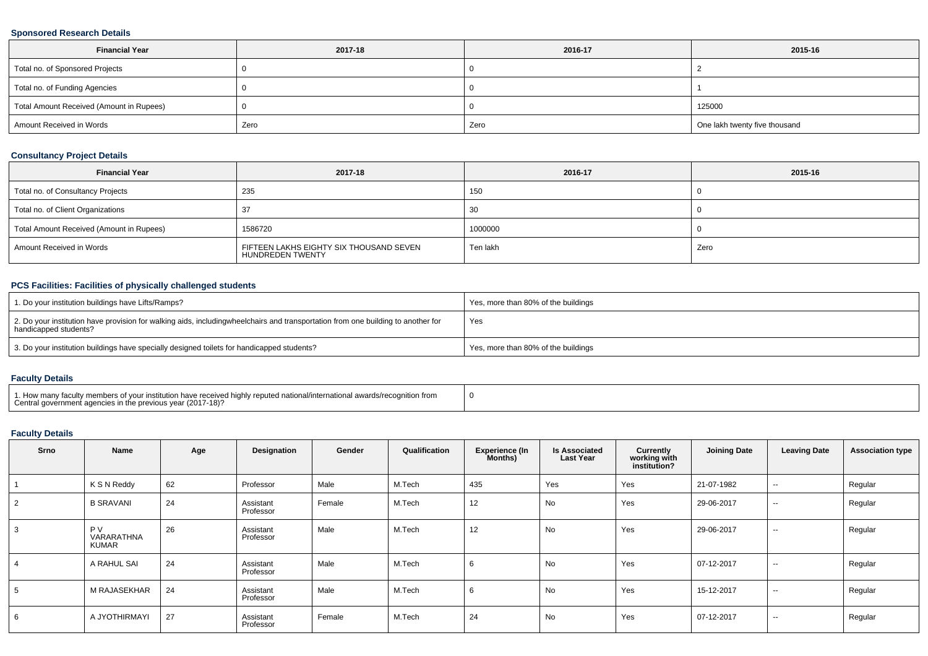### **Sponsored Research Details**

| <b>Financial Year</b>                    | 2017-18 | 2016-17 | 2015-16                       |
|------------------------------------------|---------|---------|-------------------------------|
| Total no. of Sponsored Projects          |         |         |                               |
| Total no. of Funding Agencies            |         |         |                               |
| Total Amount Received (Amount in Rupees) |         |         | 125000                        |
| Amount Received in Words                 | Zero    | Zero    | One lakh twenty five thousand |

### **Consultancy Project Details**

| <b>Financial Year</b>                    | 2017-18                                                     | 2016-17  | 2015-16 |
|------------------------------------------|-------------------------------------------------------------|----------|---------|
| Total no. of Consultancy Projects        | 235                                                         | 150      |         |
| Total no. of Client Organizations        |                                                             | -30      |         |
| Total Amount Received (Amount in Rupees) | 1586720                                                     | 1000000  |         |
| Amount Received in Words                 | FIFTEEN LAKHS EIGHTY SIX THOUSAND SEVEN<br>HUNDREDEN TWENTY | Ten lakh | Zero    |

### **PCS Facilities: Facilities of physically challenged students**

| 1. Do your institution buildings have Lifts/Ramps?                                                                                                        | Yes, more than 80% of the buildings |
|-----------------------------------------------------------------------------------------------------------------------------------------------------------|-------------------------------------|
| 2. Do your institution have provision for walking aids, includingwheelchairs and transportation from one building to another for<br>handicapped students? | Yes                                 |
| 3. Do your institution buildings have specially designed toilets for handicapped students?                                                                | Yes, more than 80% of the buildings |

### **Faculty Details**

| 1. How many faculty members of your institution have received highly reputed national/international awards/recognition from<br>Central government agencies in the previous year (2017-18)? |  |
|--------------------------------------------------------------------------------------------------------------------------------------------------------------------------------------------|--|
|--------------------------------------------------------------------------------------------------------------------------------------------------------------------------------------------|--|

### **Faculty Details**

| Srno | Name                                    | Age | Designation            | Gender | Qualification | <b>Experience (In</b><br>Months) | <b>Is Associated</b><br><b>Last Year</b> | Currently<br>working with<br>institution? | <b>Joining Date</b> | <b>Leaving Date</b>      | <b>Association type</b> |
|------|-----------------------------------------|-----|------------------------|--------|---------------|----------------------------------|------------------------------------------|-------------------------------------------|---------------------|--------------------------|-------------------------|
|      | K S N Reddy                             | 62  | Professor              | Male   | M.Tech        | 435                              | Yes                                      | Yes                                       | 21-07-1982          | $\overline{\phantom{a}}$ | Regular                 |
|      | <b>B SRAVANI</b>                        | 24  | Assistant<br>Professor | Female | M.Tech        | 12                               | No                                       | Yes                                       | 29-06-2017          | $\overline{\phantom{a}}$ | Regular                 |
|      | <b>PV</b><br>VARARATHNA<br><b>KUMAR</b> | 26  | Assistant<br>Professor | Male   | M.Tech        | 12                               | No                                       | Yes                                       | 29-06-2017          | $\sim$                   | Regular                 |
|      | A RAHUL SAI                             | 24  | Assistant<br>Professor | Male   | M.Tech        |                                  | No                                       | Yes                                       | 07-12-2017          | $\sim$                   | Regular                 |
| . ට  | M RAJASEKHAR                            | 24  | Assistant<br>Professor | Male   | M.Tech        |                                  | No                                       | Yes                                       | 15-12-2017          | $\sim$                   | Regular                 |
| 6    | A JYOTHIRMAYI                           | 27  | Assistant<br>Professor | Female | M.Tech        | 24                               | No                                       | Yes                                       | 07-12-2017          | $\sim$                   | Regular                 |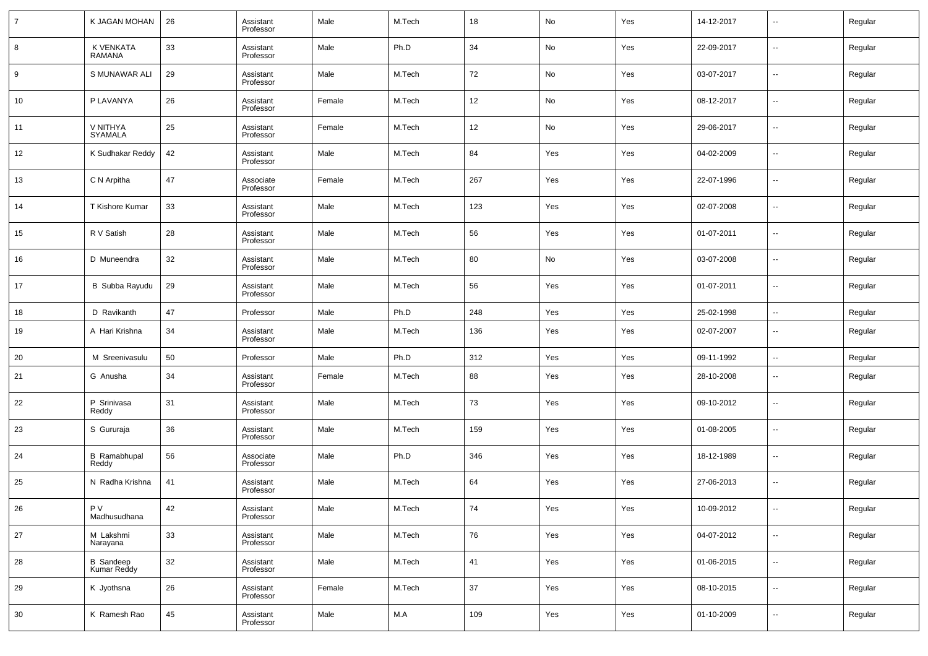| $\overline{7}$ | K JAGAN MOHAN                | 26 | Assistant<br>Professor | Male   | M.Tech | 18  | No  | Yes | 14-12-2017 | --                       | Regular |
|----------------|------------------------------|----|------------------------|--------|--------|-----|-----|-----|------------|--------------------------|---------|
| 8              | K VENKATA<br><b>RAMANA</b>   | 33 | Assistant<br>Professor | Male   | Ph.D   | 34  | No  | Yes | 22-09-2017 | --                       | Regular |
| 9              | S MUNAWAR ALI                | 29 | Assistant<br>Professor | Male   | M.Tech | 72  | No  | Yes | 03-07-2017 | --                       | Regular |
| 10             | P LAVANYA                    | 26 | Assistant<br>Professor | Female | M.Tech | 12  | No  | Yes | 08-12-2017 | --                       | Regular |
| 11             | V NITHYA<br><b>SYAMALA</b>   | 25 | Assistant<br>Professor | Female | M.Tech | 12  | No  | Yes | 29-06-2017 | --                       | Regular |
| 12             | K Sudhakar Reddy             | 42 | Assistant<br>Professor | Male   | M.Tech | 84  | Yes | Yes | 04-02-2009 | --                       | Regular |
| 13             | C N Arpitha                  | 47 | Associate<br>Professor | Female | M.Tech | 267 | Yes | Yes | 22-07-1996 | --                       | Regular |
| 14             | T Kishore Kumar              | 33 | Assistant<br>Professor | Male   | M.Tech | 123 | Yes | Yes | 02-07-2008 | --                       | Regular |
| 15             | R V Satish                   | 28 | Assistant<br>Professor | Male   | M.Tech | 56  | Yes | Yes | 01-07-2011 | --                       | Regular |
| 16             | D Muneendra                  | 32 | Assistant<br>Professor | Male   | M.Tech | 80  | No  | Yes | 03-07-2008 | --                       | Regular |
| 17             | B Subba Rayudu               | 29 | Assistant<br>Professor | Male   | M.Tech | 56  | Yes | Yes | 01-07-2011 | --                       | Regular |
| 18             | D Ravikanth                  | 47 | Professor              | Male   | Ph.D   | 248 | Yes | Yes | 25-02-1998 | $\sim$                   | Regular |
| 19             | A Hari Krishna               | 34 | Assistant<br>Professor | Male   | M.Tech | 136 | Yes | Yes | 02-07-2007 | --                       | Regular |
| 20             | M Sreenivasulu               | 50 | Professor              | Male   | Ph.D   | 312 | Yes | Yes | 09-11-1992 | --                       | Regular |
| 21             | G Anusha                     | 34 | Assistant<br>Professor | Female | M.Tech | 88  | Yes | Yes | 28-10-2008 | --                       | Regular |
| 22             | P Srinivasa<br>Reddy         | 31 | Assistant<br>Professor | Male   | M.Tech | 73  | Yes | Yes | 09-10-2012 | --                       | Regular |
| 23             | S Gururaja                   | 36 | Assistant<br>Professor | Male   | M.Tech | 159 | Yes | Yes | 01-08-2005 | $\overline{\phantom{a}}$ | Regular |
| 24             | <b>B</b> Ramabhupal<br>Reddy | 56 | Associate<br>Professor | Male   | Ph.D   | 346 | Yes | Yes | 18-12-1989 | --                       | Regular |
| 25             | N Radha Krishna              | 41 | Assistant<br>Professor | Male   | M.Tech | 64  | Yes | Yes | 27-06-2013 | ш,                       | Regular |
| 26             | P V<br>Madhusudhana          | 42 | Assistant<br>Professor | Male   | M.Tech | 74  | Yes | Yes | 10-09-2012 | $\overline{\phantom{a}}$ | Regular |
| 27             | M Lakshmi<br>Narayana        | 33 | Assistant<br>Professor | Male   | M.Tech | 76  | Yes | Yes | 04-07-2012 | $\sim$                   | Regular |
| 28             | B Sandeep<br>Kumar Reddy     | 32 | Assistant<br>Professor | Male   | M.Tech | 41  | Yes | Yes | 01-06-2015 | $\sim$                   | Regular |
| 29             | K Jyothsna                   | 26 | Assistant<br>Professor | Female | M.Tech | 37  | Yes | Yes | 08-10-2015 | $\sim$                   | Regular |
| 30             | K Ramesh Rao                 | 45 | Assistant<br>Professor | Male   | M.A    | 109 | Yes | Yes | 01-10-2009 | $\sim$                   | Regular |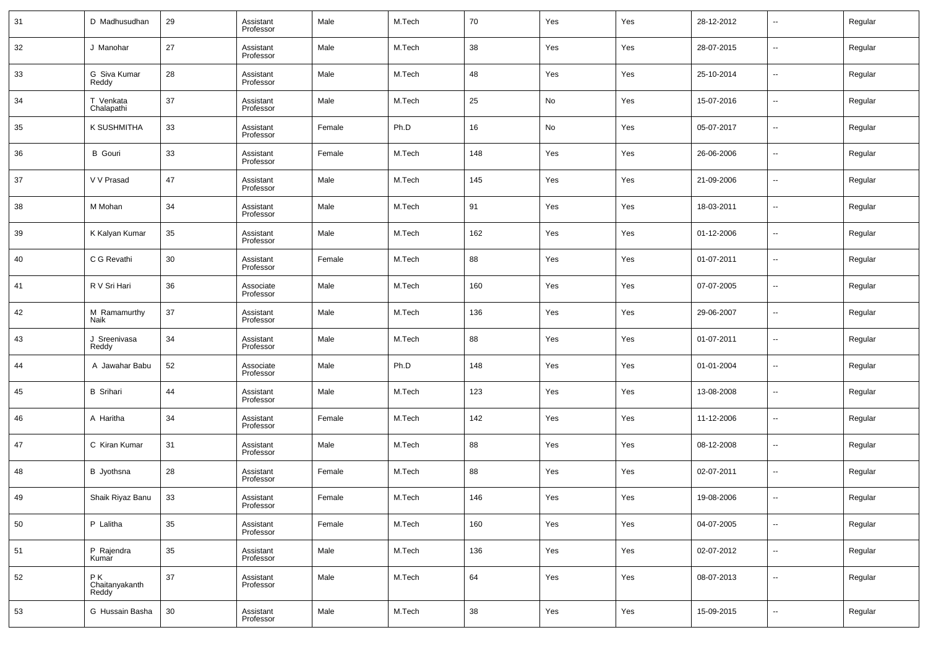| 31 | D Madhusudhan                 | 29 | Assistant<br>Professor | Male   | M.Tech | 70  | Yes | Yes | 28-12-2012 | --     | Regular |
|----|-------------------------------|----|------------------------|--------|--------|-----|-----|-----|------------|--------|---------|
| 32 | J Manohar                     | 27 | Assistant<br>Professor | Male   | M.Tech | 38  | Yes | Yes | 28-07-2015 | --     | Regular |
| 33 | G Siva Kumar<br>Reddy         | 28 | Assistant<br>Professor | Male   | M.Tech | 48  | Yes | Yes | 25-10-2014 | --     | Regular |
| 34 | T Venkata<br>Chalapathi       | 37 | Assistant<br>Professor | Male   | M.Tech | 25  | No  | Yes | 15-07-2016 | $\sim$ | Regular |
| 35 | K SUSHMITHA                   | 33 | Assistant<br>Professor | Female | Ph.D   | 16  | No  | Yes | 05-07-2017 | --     | Regular |
| 36 | <b>B</b> Gouri                | 33 | Assistant<br>Professor | Female | M.Tech | 148 | Yes | Yes | 26-06-2006 | --     | Regular |
| 37 | V V Prasad                    | 47 | Assistant<br>Professor | Male   | M.Tech | 145 | Yes | Yes | 21-09-2006 | --     | Regular |
| 38 | M Mohan                       | 34 | Assistant<br>Professor | Male   | M.Tech | 91  | Yes | Yes | 18-03-2011 | --     | Regular |
| 39 | K Kalyan Kumar                | 35 | Assistant<br>Professor | Male   | M.Tech | 162 | Yes | Yes | 01-12-2006 | --     | Regular |
| 40 | C G Revathi                   | 30 | Assistant<br>Professor | Female | M.Tech | 88  | Yes | Yes | 01-07-2011 | --     | Regular |
| 41 | R V Sri Hari                  | 36 | Associate<br>Professor | Male   | M.Tech | 160 | Yes | Yes | 07-07-2005 | --     | Regular |
| 42 | M Ramamurthy<br>Naik          | 37 | Assistant<br>Professor | Male   | M.Tech | 136 | Yes | Yes | 29-06-2007 | --     | Regular |
| 43 | J Sreenivasa<br>Reddy         | 34 | Assistant<br>Professor | Male   | M.Tech | 88  | Yes | Yes | 01-07-2011 | --     | Regular |
| 44 | A Jawahar Babu                | 52 | Associate<br>Professor | Male   | Ph.D   | 148 | Yes | Yes | 01-01-2004 | --     | Regular |
| 45 | <b>B</b> Srihari              | 44 | Assistant<br>Professor | Male   | M.Tech | 123 | Yes | Yes | 13-08-2008 | --     | Regular |
| 46 | A Haritha                     | 34 | Assistant<br>Professor | Female | M.Tech | 142 | Yes | Yes | 11-12-2006 | --     | Regular |
| 47 | C Kiran Kumar                 | 31 | Assistant<br>Professor | Male   | M.Tech | 88  | Yes | Yes | 08-12-2008 | --     | Regular |
| 48 | B Jyothsna                    | 28 | Assistant<br>Professor | Female | M.Tech | 88  | Yes | Yes | 02-07-2011 | --     | Regular |
| 49 | Shaik Riyaz Banu              | 33 | Assistant<br>Professor | Female | M.Tech | 146 | Yes | Yes | 19-08-2006 | --     | Regular |
| 50 | P Lalitha                     | 35 | Assistant<br>Professor | Female | M.Tech | 160 | Yes | Yes | 04-07-2005 | $\sim$ | Regular |
| 51 | P Rajendra<br>Kumar           | 35 | Assistant<br>Professor | Male   | M.Tech | 136 | Yes | Yes | 02-07-2012 | $\sim$ | Regular |
| 52 | PK<br>Chaitanyakanth<br>Reddy | 37 | Assistant<br>Professor | Male   | M.Tech | 64  | Yes | Yes | 08-07-2013 | $\sim$ | Regular |
| 53 | G Hussain Basha               | 30 | Assistant<br>Professor | Male   | M.Tech | 38  | Yes | Yes | 15-09-2015 | ш,     | Regular |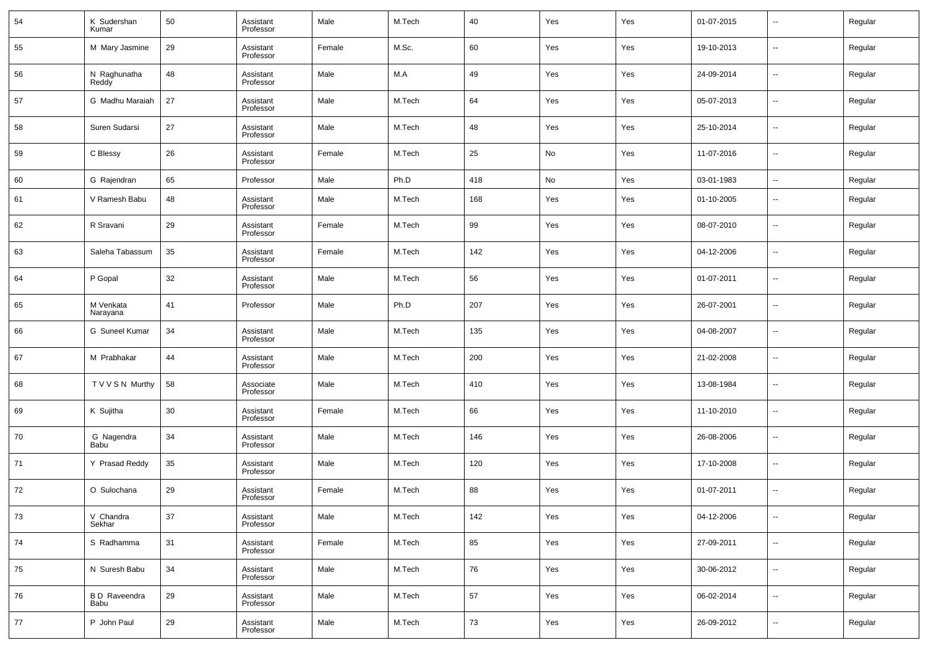| 54 | K Sudershan<br>Kumar        | 50 | Assistant<br>Professor | Male   | M.Tech | 40     | Yes | Yes | 01-07-2015 | $\sim$                   | Regular |
|----|-----------------------------|----|------------------------|--------|--------|--------|-----|-----|------------|--------------------------|---------|
| 55 | M Mary Jasmine              | 29 | Assistant<br>Professor | Female | M.Sc.  | 60     | Yes | Yes | 19-10-2013 | --                       | Regular |
| 56 | N Raghunatha<br>Reddy       | 48 | Assistant<br>Professor | Male   | M.A    | 49     | Yes | Yes | 24-09-2014 | ш,                       | Regular |
| 57 | G Madhu Maraiah             | 27 | Assistant<br>Professor | Male   | M.Tech | 64     | Yes | Yes | 05-07-2013 | ш,                       | Regular |
| 58 | Suren Sudarsi               | 27 | Assistant<br>Professor | Male   | M.Tech | 48     | Yes | Yes | 25-10-2014 | ш,                       | Regular |
| 59 | C Blessy                    | 26 | Assistant<br>Professor | Female | M.Tech | 25     | No  | Yes | 11-07-2016 | ш,                       | Regular |
| 60 | G Rajendran                 | 65 | Professor              | Male   | Ph.D   | 418    | No  | Yes | 03-01-1983 | $\overline{\phantom{a}}$ | Regular |
| 61 | V Ramesh Babu               | 48 | Assistant<br>Professor | Male   | M.Tech | 168    | Yes | Yes | 01-10-2005 | --                       | Regular |
| 62 | R Sravani                   | 29 | Assistant<br>Professor | Female | M.Tech | 99     | Yes | Yes | 08-07-2010 | --                       | Regular |
| 63 | Saleha Tabassum             | 35 | Assistant<br>Professor | Female | M.Tech | 142    | Yes | Yes | 04-12-2006 | н.                       | Regular |
| 64 | P Gopal                     | 32 | Assistant<br>Professor | Male   | M.Tech | 56     | Yes | Yes | 01-07-2011 | $\sim$                   | Regular |
| 65 | M Venkata<br>Narayana       | 41 | Professor              | Male   | Ph.D   | 207    | Yes | Yes | 26-07-2001 | н.                       | Regular |
| 66 | G Suneel Kumar              | 34 | Assistant<br>Professor | Male   | M.Tech | 135    | Yes | Yes | 04-08-2007 | $\sim$                   | Regular |
| 67 | M Prabhakar                 | 44 | Assistant<br>Professor | Male   | M.Tech | 200    | Yes | Yes | 21-02-2008 | н.                       | Regular |
| 68 | T V V S N Murthy            | 58 | Associate<br>Professor | Male   | M.Tech | 410    | Yes | Yes | 13-08-1984 | $\sim$                   | Regular |
| 69 | K Sujitha                   | 30 | Assistant<br>Professor | Female | M.Tech | 66     | Yes | Yes | 11-10-2010 | н.                       | Regular |
| 70 | G Nagendra<br>Babu          | 34 | Assistant<br>Professor | Male   | M.Tech | 146    | Yes | Yes | 26-08-2006 | $\sim$                   | Regular |
| 71 | Y Prasad Reddy              | 35 | Assistant<br>Professor | Male   | M.Tech | 120    | Yes | Yes | 17-10-2008 | --                       | Regular |
| 72 | O Sulochana                 | 29 | Assistant<br>Professor | Female | M.Tech | 88     | Yes | Yes | 01-07-2011 | --                       | Regular |
| 73 | V Chandra<br>Sekhar         | 37 | Assistant<br>Professor | Male   | M.Tech | 142    | Yes | Yes | 04-12-2006 | $\sim$                   | Regular |
| 74 | S Radhamma                  | 31 | Assistant<br>Professor | Female | M.Tech | 85     | Yes | Yes | 27-09-2011 | $\overline{\phantom{a}}$ | Regular |
| 75 | N Suresh Babu               | 34 | Assistant<br>Professor | Male   | M.Tech | 76     | Yes | Yes | 30-06-2012 | $\sim$                   | Regular |
| 76 | <b>BD</b> Raveendra<br>Babu | 29 | Assistant<br>Professor | Male   | M.Tech | 57     | Yes | Yes | 06-02-2014 | $\overline{\phantom{a}}$ | Regular |
| 77 | P John Paul                 | 29 | Assistant<br>Professor | Male   | M.Tech | $73\,$ | Yes | Yes | 26-09-2012 | $\sim$                   | Regular |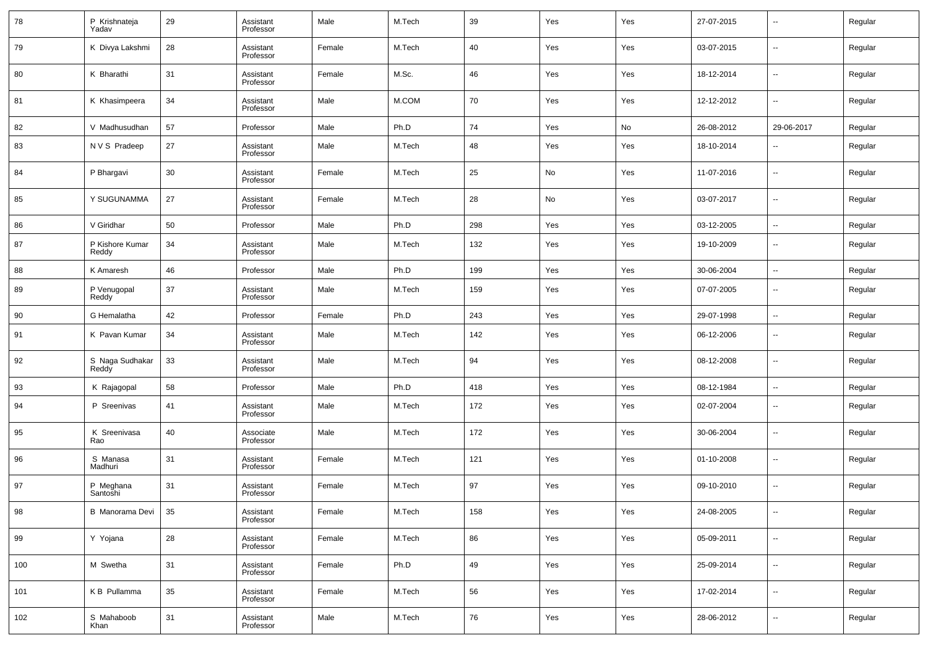| 78  | P Krishnateja<br>Yadav   | 29 | Assistant<br>Professor | Male   | M.Tech | 39  | Yes | Yes | 27-07-2015 | $\overline{\phantom{a}}$ | Regular |
|-----|--------------------------|----|------------------------|--------|--------|-----|-----|-----|------------|--------------------------|---------|
| 79  | K Divya Lakshmi          | 28 | Assistant<br>Professor | Female | M.Tech | 40  | Yes | Yes | 03-07-2015 | $\overline{\phantom{a}}$ | Regular |
| 80  | K Bharathi               | 31 | Assistant<br>Professor | Female | M.Sc.  | 46  | Yes | Yes | 18-12-2014 | $\overline{\phantom{a}}$ | Regular |
| 81  | K Khasimpeera            | 34 | Assistant<br>Professor | Male   | M.COM  | 70  | Yes | Yes | 12-12-2012 | $\overline{\phantom{a}}$ | Regular |
| 82  | V Madhusudhan            | 57 | Professor              | Male   | Ph.D   | 74  | Yes | No  | 26-08-2012 | 29-06-2017               | Regular |
| 83  | N V S Pradeep            | 27 | Assistant<br>Professor | Male   | M.Tech | 48  | Yes | Yes | 18-10-2014 | $\overline{\phantom{a}}$ | Regular |
| 84  | P Bhargavi               | 30 | Assistant<br>Professor | Female | M.Tech | 25  | No  | Yes | 11-07-2016 | $\overline{\phantom{a}}$ | Regular |
| 85  | Y SUGUNAMMA              | 27 | Assistant<br>Professor | Female | M.Tech | 28  | No  | Yes | 03-07-2017 | $\overline{\phantom{a}}$ | Regular |
| 86  | V Giridhar               | 50 | Professor              | Male   | Ph.D   | 298 | Yes | Yes | 03-12-2005 | $\sim$                   | Regular |
| 87  | P Kishore Kumar<br>Reddy | 34 | Assistant<br>Professor | Male   | M.Tech | 132 | Yes | Yes | 19-10-2009 | $\overline{\phantom{a}}$ | Regular |
| 88  | K Amaresh                | 46 | Professor              | Male   | Ph.D   | 199 | Yes | Yes | 30-06-2004 | $\overline{\phantom{a}}$ | Regular |
| 89  | P Venugopal<br>Reddy     | 37 | Assistant<br>Professor | Male   | M.Tech | 159 | Yes | Yes | 07-07-2005 | $\overline{\phantom{a}}$ | Regular |
| 90  | G Hemalatha              | 42 | Professor              | Female | Ph.D   | 243 | Yes | Yes | 29-07-1998 | $\overline{\phantom{a}}$ | Regular |
| 91  | K Pavan Kumar            | 34 | Assistant<br>Professor | Male   | M.Tech | 142 | Yes | Yes | 06-12-2006 | $\overline{\phantom{a}}$ | Regular |
| 92  | S Naga Sudhakar<br>Reddy | 33 | Assistant<br>Professor | Male   | M.Tech | 94  | Yes | Yes | 08-12-2008 | $\overline{\phantom{a}}$ | Regular |
| 93  | K Rajagopal              | 58 | Professor              | Male   | Ph.D   | 418 | Yes | Yes | 08-12-1984 | $\sim$                   | Regular |
| 94  | P Sreenivas              | 41 | Assistant<br>Professor | Male   | M.Tech | 172 | Yes | Yes | 02-07-2004 | $\overline{\phantom{a}}$ | Regular |
| 95  | K Sreenivasa<br>Rao      | 40 | Associate<br>Professor | Male   | M.Tech | 172 | Yes | Yes | 30-06-2004 | $\overline{\phantom{a}}$ | Regular |
| 96  | S Manasa<br>Madhuri      | 31 | Assistant<br>Professor | Female | M.Tech | 121 | Yes | Yes | 01-10-2008 | $\overline{\phantom{a}}$ | Regular |
| 97  | P Meghana<br>Santoshi    | 31 | Assistant<br>Professor | Female | M.Tech | 97  | Yes | Yes | 09-10-2010 | $\overline{\phantom{a}}$ | Regular |
| 98  | B Manorama Devi          | 35 | Assistant<br>Professor | Female | M.Tech | 158 | Yes | Yes | 24-08-2005 | $\overline{\phantom{a}}$ | Regular |
| 99  | Y Yojana                 | 28 | Assistant<br>Professor | Female | M.Tech | 86  | Yes | Yes | 05-09-2011 | $\overline{\phantom{a}}$ | Regular |
| 100 | M Swetha                 | 31 | Assistant<br>Professor | Female | Ph.D   | 49  | Yes | Yes | 25-09-2014 | $\overline{\phantom{a}}$ | Regular |
| 101 | K B Pullamma             | 35 | Assistant<br>Professor | Female | M.Tech | 56  | Yes | Yes | 17-02-2014 | $\overline{\phantom{a}}$ | Regular |
| 102 | S Mahaboob<br>Khan       | 31 | Assistant<br>Professor | Male   | M.Tech | 76  | Yes | Yes | 28-06-2012 | $\overline{\phantom{a}}$ | Regular |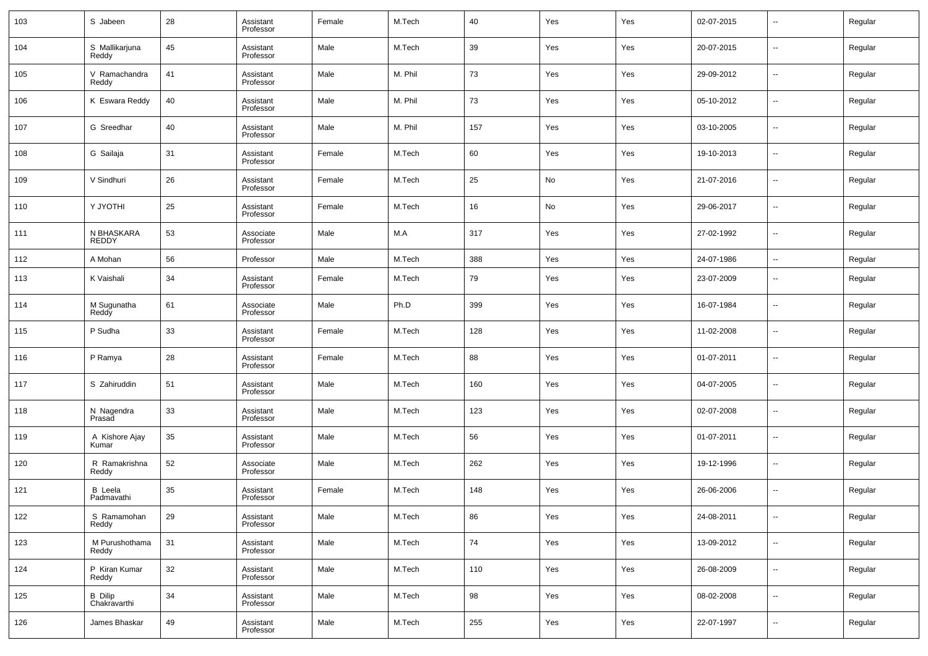| 103 | S Jabeen                       | 28 | Assistant<br>Professor | Female | M.Tech  | 40  | Yes | Yes | 02-07-2015 | $\overline{\phantom{a}}$ | Regular |
|-----|--------------------------------|----|------------------------|--------|---------|-----|-----|-----|------------|--------------------------|---------|
| 104 | S Mallikarjuna<br>Reddy        | 45 | Assistant<br>Professor | Male   | M.Tech  | 39  | Yes | Yes | 20-07-2015 | ш,                       | Regular |
| 105 | V Ramachandra<br>Reddy         | 41 | Assistant<br>Professor | Male   | M. Phil | 73  | Yes | Yes | 29-09-2012 | $\overline{\phantom{a}}$ | Regular |
| 106 | K Eswara Reddy                 | 40 | Assistant<br>Professor | Male   | M. Phil | 73  | Yes | Yes | 05-10-2012 | $\overline{\phantom{a}}$ | Regular |
| 107 | G Sreedhar                     | 40 | Assistant<br>Professor | Male   | M. Phil | 157 | Yes | Yes | 03-10-2005 | ш,                       | Regular |
| 108 | G Sailaja                      | 31 | Assistant<br>Professor | Female | M.Tech  | 60  | Yes | Yes | 19-10-2013 | $\overline{\phantom{a}}$ | Regular |
| 109 | V Sindhuri                     | 26 | Assistant<br>Professor | Female | M.Tech  | 25  | No  | Yes | 21-07-2016 | ш,                       | Regular |
| 110 | Y JYOTHI                       | 25 | Assistant<br>Professor | Female | M.Tech  | 16  | No  | Yes | 29-06-2017 | $\overline{\phantom{a}}$ | Regular |
| 111 | N BHASKARA<br>REDDY            | 53 | Associate<br>Professor | Male   | M.A     | 317 | Yes | Yes | 27-02-1992 | ш,                       | Regular |
| 112 | A Mohan                        | 56 | Professor              | Male   | M.Tech  | 388 | Yes | Yes | 24-07-1986 | $\overline{\phantom{a}}$ | Regular |
| 113 | K Vaishali                     | 34 | Assistant<br>Professor | Female | M.Tech  | 79  | Yes | Yes | 23-07-2009 | $\overline{\phantom{a}}$ | Regular |
| 114 | M Sugunatha<br>Reddy           | 61 | Associate<br>Professor | Male   | Ph.D    | 399 | Yes | Yes | 16-07-1984 | $\sim$                   | Regular |
| 115 | P Sudha                        | 33 | Assistant<br>Professor | Female | M.Tech  | 128 | Yes | Yes | 11-02-2008 | $\overline{\phantom{a}}$ | Regular |
| 116 | P Ramya                        | 28 | Assistant<br>Professor | Female | M.Tech  | 88  | Yes | Yes | 01-07-2011 | $\overline{\phantom{a}}$ | Regular |
| 117 | S Zahiruddin                   | 51 | Assistant<br>Professor | Male   | M.Tech  | 160 | Yes | Yes | 04-07-2005 | $\sim$                   | Regular |
| 118 | N Nagendra<br>Prasad           | 33 | Assistant<br>Professor | Male   | M.Tech  | 123 | Yes | Yes | 02-07-2008 | $\overline{\phantom{a}}$ | Regular |
| 119 | A Kishore Ajay<br>Kumar        | 35 | Assistant<br>Professor | Male   | M.Tech  | 56  | Yes | Yes | 01-07-2011 | $\sim$                   | Regular |
| 120 | R Ramakrishna<br>Reddy         | 52 | Associate<br>Professor | Male   | M.Tech  | 262 | Yes | Yes | 19-12-1996 | $\overline{\phantom{a}}$ | Regular |
| 121 | <b>B</b> Leela<br>Padmavathi   | 35 | Assistant<br>Professor | Female | M.Tech  | 148 | Yes | Yes | 26-06-2006 | --                       | Regular |
| 122 | S Ramamohan<br>Reddy           | 29 | Assistant<br>Professor | Male   | M.Tech  | 86  | Yes | Yes | 24-08-2011 | $\sim$                   | Regular |
| 123 | M Purushothama<br>Reddy        | 31 | Assistant<br>Professor | Male   | M.Tech  | 74  | Yes | Yes | 13-09-2012 | $\sim$                   | Regular |
| 124 | P Kiran Kumar<br>Reddy         | 32 | Assistant<br>Professor | Male   | M.Tech  | 110 | Yes | Yes | 26-08-2009 | $\sim$                   | Regular |
| 125 | <b>B</b> Dilip<br>Chakravarthi | 34 | Assistant<br>Professor | Male   | M.Tech  | 98  | Yes | Yes | 08-02-2008 | $\sim$                   | Regular |
| 126 | James Bhaskar                  | 49 | Assistant<br>Professor | Male   | M.Tech  | 255 | Yes | Yes | 22-07-1997 | $\sim$                   | Regular |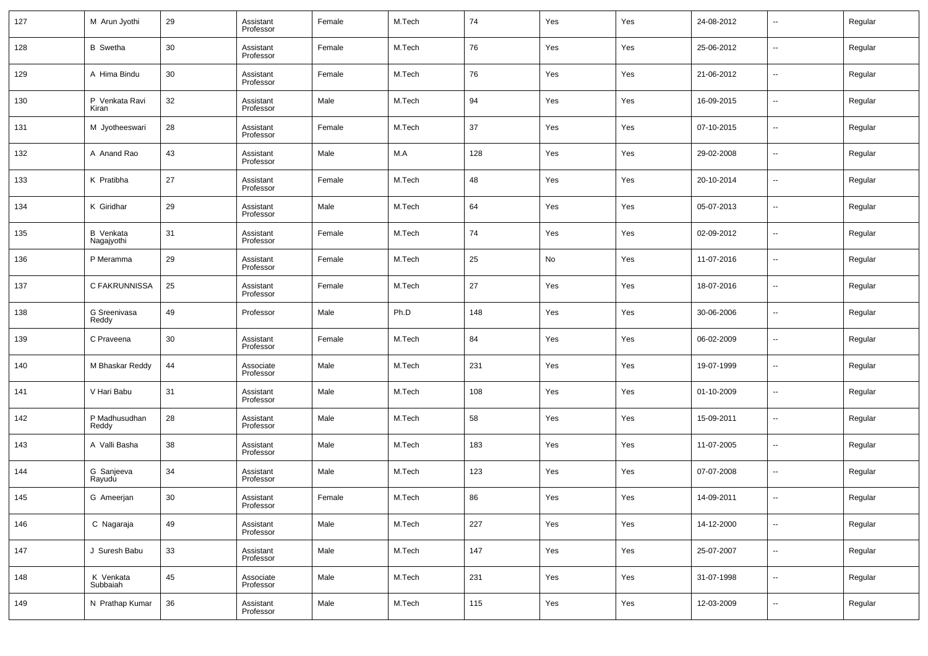| 127 | M Arun Jyothi                  | 29 | Assistant<br>Professor | Female | M.Tech | 74  | Yes | Yes | 24-08-2012 | $\overline{\phantom{a}}$ | Regular |
|-----|--------------------------------|----|------------------------|--------|--------|-----|-----|-----|------------|--------------------------|---------|
| 128 | <b>B</b> Swetha                | 30 | Assistant<br>Professor | Female | M.Tech | 76  | Yes | Yes | 25-06-2012 | $\overline{\phantom{a}}$ | Regular |
| 129 | A Hima Bindu                   | 30 | Assistant<br>Professor | Female | M.Tech | 76  | Yes | Yes | 21-06-2012 | $\overline{\phantom{a}}$ | Regular |
| 130 | P Venkata Ravi<br>Kiran        | 32 | Assistant<br>Professor | Male   | M.Tech | 94  | Yes | Yes | 16-09-2015 | $\overline{\phantom{a}}$ | Regular |
| 131 | M Jyotheeswari                 | 28 | Assistant<br>Professor | Female | M.Tech | 37  | Yes | Yes | 07-10-2015 | $\overline{\phantom{a}}$ | Regular |
| 132 | A Anand Rao                    | 43 | Assistant<br>Professor | Male   | M.A    | 128 | Yes | Yes | 29-02-2008 | $\overline{\phantom{a}}$ | Regular |
| 133 | K Pratibha                     | 27 | Assistant<br>Professor | Female | M.Tech | 48  | Yes | Yes | 20-10-2014 | $\overline{\phantom{a}}$ | Regular |
| 134 | K Giridhar                     | 29 | Assistant<br>Professor | Male   | M.Tech | 64  | Yes | Yes | 05-07-2013 | $\overline{\phantom{a}}$ | Regular |
| 135 | <b>B</b> Venkata<br>Nagajyothi | 31 | Assistant<br>Professor | Female | M.Tech | 74  | Yes | Yes | 02-09-2012 | $\overline{\phantom{a}}$ | Regular |
| 136 | P Meramma                      | 29 | Assistant<br>Professor | Female | M.Tech | 25  | No  | Yes | 11-07-2016 | $\overline{\phantom{a}}$ | Regular |
| 137 | C FAKRUNNISSA                  | 25 | Assistant<br>Professor | Female | M.Tech | 27  | Yes | Yes | 18-07-2016 | $\overline{\phantom{a}}$ | Regular |
| 138 | G Sreenivasa<br>Reddy          | 49 | Professor              | Male   | Ph.D   | 148 | Yes | Yes | 30-06-2006 | $\overline{\phantom{a}}$ | Regular |
| 139 | C Praveena                     | 30 | Assistant<br>Professor | Female | M.Tech | 84  | Yes | Yes | 06-02-2009 | $\overline{\phantom{a}}$ | Regular |
| 140 | M Bhaskar Reddy                | 44 | Associate<br>Professor | Male   | M.Tech | 231 | Yes | Yes | 19-07-1999 | $\overline{\phantom{a}}$ | Regular |
| 141 | V Hari Babu                    | 31 | Assistant<br>Professor | Male   | M.Tech | 108 | Yes | Yes | 01-10-2009 | $\overline{\phantom{a}}$ | Regular |
| 142 | P Madhusudhan<br>Reddy         | 28 | Assistant<br>Professor | Male   | M.Tech | 58  | Yes | Yes | 15-09-2011 | $\overline{\phantom{a}}$ | Regular |
| 143 | A Valli Basha                  | 38 | Assistant<br>Professor | Male   | M.Tech | 183 | Yes | Yes | 11-07-2005 | $\overline{\phantom{a}}$ | Regular |
| 144 | G Sanjeeva<br>Rayudu           | 34 | Assistant<br>Professor | Male   | M.Tech | 123 | Yes | Yes | 07-07-2008 | $\overline{\phantom{a}}$ | Regular |
| 145 | G Ameerjan                     | 30 | Assistant<br>Professor | Female | M.Tech | 86  | Yes | Yes | 14-09-2011 | $\overline{\phantom{a}}$ | Regular |
| 146 | C Nagaraja                     | 49 | Assistant<br>Professor | Male   | M.Tech | 227 | Yes | Yes | 14-12-2000 | ۰.                       | Regular |
| 147 | J Suresh Babu                  | 33 | Assistant<br>Professor | Male   | M.Tech | 147 | Yes | Yes | 25-07-2007 | $\overline{\phantom{a}}$ | Regular |
| 148 | K Venkata<br>Subbaiah          | 45 | Associate<br>Professor | Male   | M.Tech | 231 | Yes | Yes | 31-07-1998 | $\overline{\phantom{a}}$ | Regular |
| 149 | N Prathap Kumar                | 36 | Assistant<br>Professor | Male   | M.Tech | 115 | Yes | Yes | 12-03-2009 | $\overline{\phantom{a}}$ | Regular |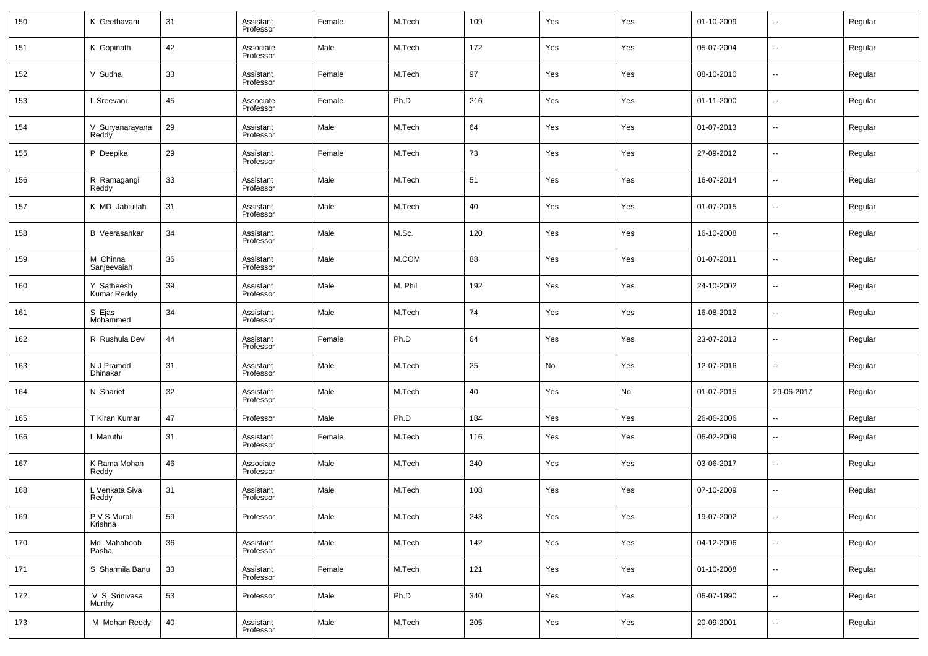| 150     | K Geethavani              | 31 | Assistant<br>Professor | Female | M.Tech  | 109 | Yes | Yes | 01-10-2009 | $\overline{\phantom{a}}$ | Regular |
|---------|---------------------------|----|------------------------|--------|---------|-----|-----|-----|------------|--------------------------|---------|
| 151     | K Gopinath                | 42 | Associate<br>Professor | Male   | M.Tech  | 172 | Yes | Yes | 05-07-2004 | $\overline{\phantom{a}}$ | Regular |
| 152     | V Sudha                   | 33 | Assistant<br>Professor | Female | M.Tech  | 97  | Yes | Yes | 08-10-2010 | $\overline{\phantom{a}}$ | Regular |
| 153     | Sreevani                  | 45 | Associate<br>Professor | Female | Ph.D    | 216 | Yes | Yes | 01-11-2000 | $\overline{\phantom{a}}$ | Regular |
| 154     | V Suryanarayana<br>Reddy  | 29 | Assistant<br>Professor | Male   | M.Tech  | 64  | Yes | Yes | 01-07-2013 | $\overline{\phantom{a}}$ | Regular |
| 155     | P Deepika                 | 29 | Assistant<br>Professor | Female | M.Tech  | 73  | Yes | Yes | 27-09-2012 | $\overline{\phantom{a}}$ | Regular |
| 156     | R Ramagangi<br>Reddy      | 33 | Assistant<br>Professor | Male   | M.Tech  | 51  | Yes | Yes | 16-07-2014 | $\overline{\phantom{a}}$ | Regular |
| 157     | K MD Jabiullah            | 31 | Assistant<br>Professor | Male   | M.Tech  | 40  | Yes | Yes | 01-07-2015 | $\overline{\phantom{a}}$ | Regular |
| 158     | <b>B</b> Veerasankar      | 34 | Assistant<br>Professor | Male   | M.Sc.   | 120 | Yes | Yes | 16-10-2008 | $\overline{\phantom{a}}$ | Regular |
| 159     | M Chinna<br>Sanjeevaiah   | 36 | Assistant<br>Professor | Male   | M.COM   | 88  | Yes | Yes | 01-07-2011 | $\overline{\phantom{a}}$ | Regular |
| 160     | Y Satheesh<br>Kumar Reddy | 39 | Assistant<br>Professor | Male   | M. Phil | 192 | Yes | Yes | 24-10-2002 | $\overline{\phantom{a}}$ | Regular |
| 161     | S Ejas<br>Mohammed        | 34 | Assistant<br>Professor | Male   | M.Tech  | 74  | Yes | Yes | 16-08-2012 | ш,                       | Regular |
| 162     | R Rushula Devi            | 44 | Assistant<br>Professor | Female | Ph.D    | 64  | Yes | Yes | 23-07-2013 | $\overline{\phantom{a}}$ | Regular |
| 163     | N J Pramod<br>Dhinakar    | 31 | Assistant<br>Professor | Male   | M.Tech  | 25  | No  | Yes | 12-07-2016 | ш,                       | Regular |
| 164     | N Sharief                 | 32 | Assistant<br>Professor | Male   | M.Tech  | 40  | Yes | No  | 01-07-2015 | 29-06-2017               | Regular |
| 165     | T Kiran Kumar             | 47 | Professor              | Male   | Ph.D    | 184 | Yes | Yes | 26-06-2006 | $\sim$                   | Regular |
| 166     | L Maruthi                 | 31 | Assistant<br>Professor | Female | M.Tech  | 116 | Yes | Yes | 06-02-2009 | --                       | Regular |
| 167     | K Rama Mohan<br>Reddy     | 46 | Associate<br>Professor | Male   | M.Tech  | 240 | Yes | Yes | 03-06-2017 | --                       | Regular |
| 168     | L Venkata Siva<br>Reddy   | 31 | Assistant<br>Professor | Male   | M.Tech  | 108 | Yes | Yes | 07-10-2009 | --                       | Regular |
| 169     | P V S Murali<br>Krishna   | 59 | Professor              | Male   | M.Tech  | 243 | Yes | Yes | 19-07-2002 | $\overline{\phantom{a}}$ | Regular |
| 170     | Md Mahaboob<br>Pasha      | 36 | Assistant<br>Professor | Male   | M.Tech  | 142 | Yes | Yes | 04-12-2006 | $\overline{\phantom{a}}$ | Regular |
| 171     | S Sharmila Banu           | 33 | Assistant<br>Professor | Female | M.Tech  | 121 | Yes | Yes | 01-10-2008 | $\sim$                   | Regular |
| $172\,$ | V S Srinivasa<br>Murthy   | 53 | Professor              | Male   | Ph.D    | 340 | Yes | Yes | 06-07-1990 | $\sim$                   | Regular |
| 173     | M Mohan Reddy             | 40 | Assistant<br>Professor | Male   | M.Tech  | 205 | Yes | Yes | 20-09-2001 | $\sim$                   | Regular |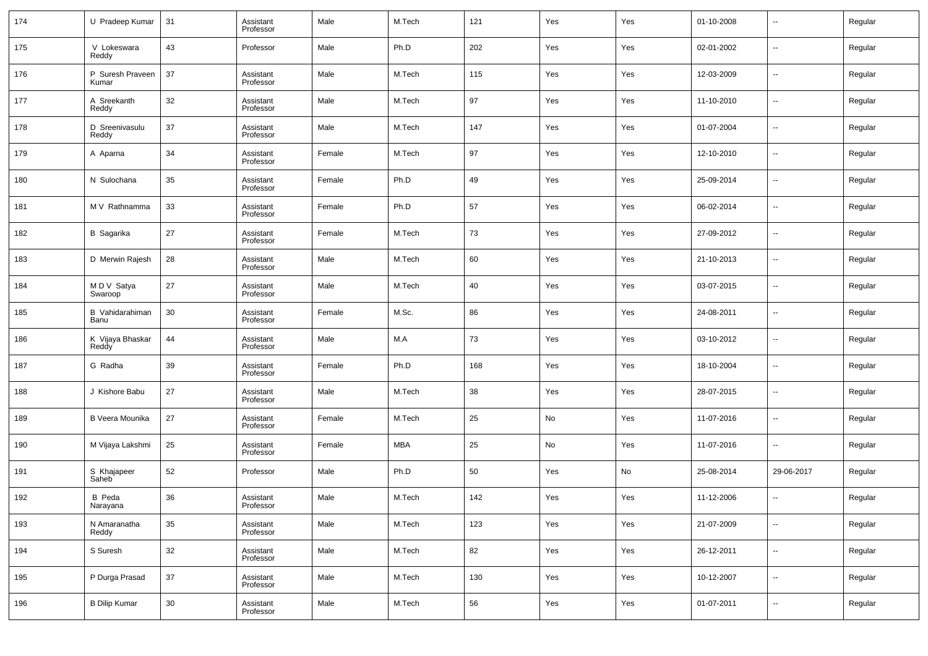| 174 | U Pradeep Kumar           | 31     | Assistant<br>Professor | Male   | M.Tech | 121 | Yes | Yes | 01-10-2008 | $\overline{\phantom{a}}$ | Regular |
|-----|---------------------------|--------|------------------------|--------|--------|-----|-----|-----|------------|--------------------------|---------|
| 175 | V Lokeswara<br>Reddy      | 43     | Professor              | Male   | Ph.D   | 202 | Yes | Yes | 02-01-2002 | $\overline{\phantom{a}}$ | Regular |
| 176 | P Suresh Praveen<br>Kumar | 37     | Assistant<br>Professor | Male   | M.Tech | 115 | Yes | Yes | 12-03-2009 | $\overline{\phantom{a}}$ | Regular |
| 177 | A Sreekanth<br>Reddy      | 32     | Assistant<br>Professor | Male   | M.Tech | 97  | Yes | Yes | 11-10-2010 | $\overline{\phantom{a}}$ | Regular |
| 178 | D Sreenivasulu<br>Reddy   | 37     | Assistant<br>Professor | Male   | M.Tech | 147 | Yes | Yes | 01-07-2004 | $\sim$                   | Regular |
| 179 | A Aparna                  | 34     | Assistant<br>Professor | Female | M.Tech | 97  | Yes | Yes | 12-10-2010 | $\overline{\phantom{a}}$ | Regular |
| 180 | N Sulochana               | 35     | Assistant<br>Professor | Female | Ph.D   | 49  | Yes | Yes | 25-09-2014 | $\sim$                   | Regular |
| 181 | M V Rathnamma             | 33     | Assistant<br>Professor | Female | Ph.D   | 57  | Yes | Yes | 06-02-2014 | $\overline{\phantom{a}}$ | Regular |
| 182 | <b>B</b> Sagarika         | 27     | Assistant<br>Professor | Female | M.Tech | 73  | Yes | Yes | 27-09-2012 | $\sim$                   | Regular |
| 183 | D Merwin Rajesh           | 28     | Assistant<br>Professor | Male   | M.Tech | 60  | Yes | Yes | 21-10-2013 | $\overline{\phantom{a}}$ | Regular |
| 184 | M D V Satya<br>Swaroop    | 27     | Assistant<br>Professor | Male   | M.Tech | 40  | Yes | Yes | 03-07-2015 | $\overline{\phantom{a}}$ | Regular |
| 185 | B Vahidarahiman<br>Banu   | 30     | Assistant<br>Professor | Female | M.Sc.  | 86  | Yes | Yes | 24-08-2011 | $\overline{\phantom{a}}$ | Regular |
| 186 | K Vijaya Bhaskar<br>Reddy | 44     | Assistant<br>Professor | Male   | M.A    | 73  | Yes | Yes | 03-10-2012 | $\overline{\phantom{a}}$ | Regular |
| 187 | G Radha                   | 39     | Assistant<br>Professor | Female | Ph.D   | 168 | Yes | Yes | 18-10-2004 | $\sim$                   | Regular |
| 188 | J Kishore Babu            | 27     | Assistant<br>Professor | Male   | M.Tech | 38  | Yes | Yes | 28-07-2015 | $\overline{\phantom{a}}$ | Regular |
| 189 | B Veera Mounika           | 27     | Assistant<br>Professor | Female | M.Tech | 25  | No  | Yes | 11-07-2016 | $\sim$                   | Regular |
| 190 | M Vijaya Lakshmi          | 25     | Assistant<br>Professor | Female | MBA    | 25  | No  | Yes | 11-07-2016 | ш,                       | Regular |
| 191 | S Khajapeer<br>Saheb      | 52     | Professor              | Male   | Ph.D   | 50  | Yes | No  | 25-08-2014 | 29-06-2017               | Regular |
| 192 | <b>B</b> Peda<br>Narayana | 36     | Assistant<br>Professor | Male   | M.Tech | 142 | Yes | Yes | 11-12-2006 |                          | Regular |
| 193 | N Amaranatha<br>Reddy     | 35     | Assistant<br>Professor | Male   | M.Tech | 123 | Yes | Yes | 21-07-2009 | $\overline{\phantom{a}}$ | Regular |
| 194 | S Suresh                  | 32     | Assistant<br>Professor | Male   | M.Tech | 82  | Yes | Yes | 26-12-2011 | $\overline{\phantom{a}}$ | Regular |
| 195 | P Durga Prasad            | $37\,$ | Assistant<br>Professor | Male   | M.Tech | 130 | Yes | Yes | 10-12-2007 | $\overline{\phantom{a}}$ | Regular |
| 196 | <b>B Dilip Kumar</b>      | 30     | Assistant<br>Professor | Male   | M.Tech | 56  | Yes | Yes | 01-07-2011 | $\overline{\phantom{a}}$ | Regular |